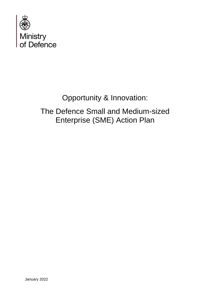

# Opportunity & Innovation:

# The Defence Small and Medium-sized Enterprise (SME) Action Plan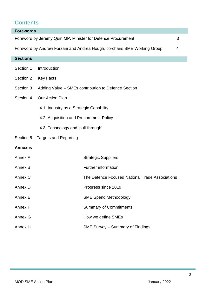# **Contents**

<span id="page-1-0"></span>

| <b>Forewords</b> |                                                                                            |                                                     |  |  |
|------------------|--------------------------------------------------------------------------------------------|-----------------------------------------------------|--|--|
|                  | Foreword by Jeremy Quin MP, Minister for Defence Procurement<br>3                          |                                                     |  |  |
|                  | Foreword by Andrew Forzani and Andrea Hough, co-chairs SME Working Group<br>$\overline{4}$ |                                                     |  |  |
| <b>Sections</b>  |                                                                                            |                                                     |  |  |
| Section 1        | Introduction                                                                               |                                                     |  |  |
| Section 2        | <b>Key Facts</b>                                                                           |                                                     |  |  |
| Section 3        |                                                                                            | Adding Value – SMEs contribution to Defence Section |  |  |
| Section 4        | <b>Our Action Plan</b>                                                                     |                                                     |  |  |
|                  | 4.1 Industry as a Strategic Capability                                                     |                                                     |  |  |
|                  | 4.2 Acquisition and Procurement Policy                                                     |                                                     |  |  |
|                  | 4.3 Technology and 'pull-through'                                                          |                                                     |  |  |
| Section 5        | <b>Targets and Reporting</b>                                                               |                                                     |  |  |
| <b>Annexes</b>   |                                                                                            |                                                     |  |  |
| Annex A          |                                                                                            | <b>Strategic Suppliers</b>                          |  |  |
| Annex B          |                                                                                            | <b>Further information</b>                          |  |  |
| Annex C          |                                                                                            | The Defence Focused National Trade Associations     |  |  |
| Annex D          |                                                                                            | Progress since 2019                                 |  |  |
| Annex E          |                                                                                            | <b>SME Spend Methodology</b>                        |  |  |
| Annex F          |                                                                                            | <b>Summary of Commitments</b>                       |  |  |
| Annex G          |                                                                                            | How we define SMEs                                  |  |  |
| Annex H          |                                                                                            | SME Survey - Summary of Findings                    |  |  |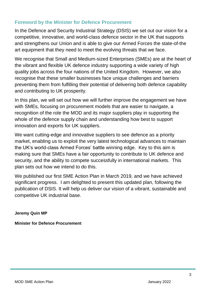# **Foreword by the Minister for Defence Procurement**

In the Defence and Security Industrial Strategy (DSIS) we set out our vision for a competitive, innovative, and world-class defence sector in the UK that supports and strengthens our Union and is able to give our Armed Forces the state-of-the art equipment that they need to meet the evolving threats that we face.

We recognise that Small and Medium-sized Enterprises (SMEs) are at the heart of the vibrant and flexible UK defence industry supporting a wide variety of high quality jobs across the four nations of the United Kingdom. However, we also recognise that these smaller businesses face unique challenges and barriers preventing them from fulfilling their potential of delivering both defence capability and contributing to UK prosperity.

In this plan, we will set out how we will further improve the engagement we have with SMEs, focusing on procurement models that are easier to navigate, a recognition of the role the MOD and its major suppliers play in supporting the whole of the defence supply chain and understanding how best to support innovation and exports for UK suppliers.

We want cutting-edge and innovative suppliers to see defence as a priority market, enabling us to exploit the very latest technological advances to maintain the UK's world-class Armed Forces' battle winning edge. Key to this aim is making sure that SMEs have a fair opportunity to contribute to UK defence and security, and the ability to compete successfully in international markets. This plan sets out how we intend to do this.

We published our first SME Action Plan in March 2019, and we have achieved significant progress. I am delighted to present this updated plan, following the publication of DSIS. It will help us deliver our vision of a vibrant, sustainable and competitive UK industrial base.

## **Jeremy Quin MP**

**Minister for Defence Procurement**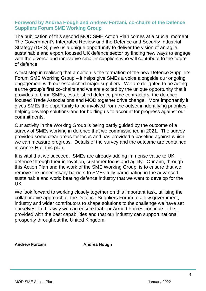# <span id="page-3-0"></span>**Foreword by Andrea Hough and Andrew Forzani, co-chairs of the Defence Suppliers Forum SME Working Group**

The publication of this second MOD SME Action Plan comes at a crucial moment. The Government's Integrated Review and the Defence and Security Industrial Strategy (DSIS) give us a unique opportunity to deliver the vision of an agile, sustainable and export focused UK defence sector by finding new ways to engage with the diverse and innovative smaller suppliers who will contribute to the future of defence.

A first step in realising that ambition is the formation of the new Defence Suppliers Forum SME Working Group – it helps give SMEs a voice alongside our ongoing engagement with our established major suppliers. We are delighted to be acting as the group's first co-chairs and we are excited by the unique opportunity that it provides to bring SMEs, established defence prime contractors, the defence focused Trade Associations and MOD together drive change. More importantly it gives SMEs the opportunity to be involved from the outset in identifying priorities, helping develop solutions and for holding us to account for progress against our commitments.

Our activity in the Working Group is being partly guided by the outcome of a survey of SMEs working in defence that we commissioned in 2021. The survey provided some clear areas for focus and has provided a baseline against which we can measure progress. Details of the survey and the outcome are contained in Annex H of this plan.

It is vital that we succeed. SMEs are already adding immense value to UK defence through their innovation, customer focus and agility. Our aim, through this Action Plan and the work of the SME Working Group, is to ensure that we remove the unnecessary barriers to SMEs fully participating in the advanced, sustainable and world beating defence industry that we want to develop for the UK.

We look forward to working closely together on this important task, utilising the collaborative approach of the Defence Suppliers Forum to allow government, industry and wider contributors to shape solutions to the challenge we have set ourselves. In this way we can ensure that our Armed Forces continue to be provided with the best capabilities and that our industry can support national prosperity throughout the United Kingdom.

**Andrew Forzani Andrea Hough**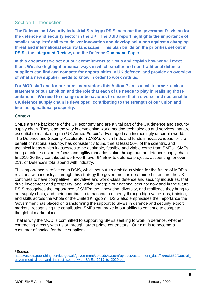# Section 1 Introduction

**The Defence and Security Industrial Strategy (DSIS) sets out the government's vision for the defence and security sector in the UK. The DSIS report highlights the importance of smaller suppliers' ability to deliver innovation and develop solutions against a changing threat and international security landscape. This plan builds on the priorities set out in [DSIS](https://www.gov.uk/government/publications/defence-and-security-industrial-strategy) , the [Integrated Review,](https://www.gov.uk/government/collections/the-integrated-review-2021) and the Defence [Command Paper.](https://www.gov.uk/government/collections/integrated-review-ministry-of-defence)** 

**In this document we set out our commitments to SMEs and explain how we will meet them. We also highlight practical ways in which smaller and non-traditional defence suppliers can find and compete for opportunities in UK defence, and provide an overview of what a new supplier needs to know in order to work with us.** 

**For MOD staff and for our prime contractors this Action Plan is a call to arms: a clear statement of our ambition and the role that each of us needs to play in realising those ambitions. We need to change our behaviours to ensure that a diverse and sustainable UK defence supply chain is developed, contributing to the strength of our union and increasing national prosperity.** 

### **Context**

SMEs are the backbone of the UK economy and are a vital part of the UK defence and security supply chain. They lead the way in developing world beating technologies and services that are essential to maintaining the UK Armed Forces' advantage in an increasingly uncertain world. The Defence and Security Accelerator (DASA), which finds and funds innovative ideas for the benefit of national security, has consistently found that at least 50% of the scientific and technical ideas which it assesses to be desirable, feasible and viable come from SMEs. SMEs bring a unique customer focus and agility that adds value throughout the defence supply chain. In 2019-20 they contributed work worth over  $£4.5Bn<sup>1</sup>$  to defence projects, accounting for over 21% of Defence's total spend with industry.

This importance is reflected in DSIS, which set out an ambitious vision for the future of MOD's relations with industry. Through this strategy the government is determined to ensure the UK continues to have competitive, innovative and world-class defence and security industries, that drive investment and prosperity, and which underpin our national security now and in the future. DSIS recognises the importance of SMEs; the innovation, diversity, and resilience they bring to our supply chain, and their contribution to national prosperity through high value jobs, training, and skills across the whole of the United Kingdom. DSIS also emphasises the importance the Government has placed on transforming the support to SMEs in defence and security export markets, recognising the contribution SMEs can make in our ability to continue to compete in the global marketplace.

That is why the MOD is committed to supporting SMEs seeking to work in defence, whether contracting directly with us or through larger prime contractors. Our aim is to become a customer of choice for these suppliers.

<sup>1</sup> Source:

https://assets.publishing.service.gov.uk/government/uploads/system/uploads/attachment\_data/file/983652/Central [government\\_direct\\_and\\_indirect\\_spend\\_with\\_SMEs\\_2019\\_to\\_2020.pdf](https://assets.publishing.service.gov.uk/government/uploads/system/uploads/attachment_data/file/983652/Central_government_direct_and_indirect_spend_with_SMEs_2019_to_2020.pdf)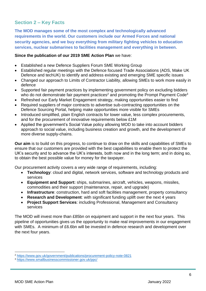# **Section 2 – Key Facts**

**The MOD manages some of the most complex and technologically advanced requirements in the world. Our customers include our Armed Forces and national security agencies, and we buy everything from military fighting vehicles to education services, nuclear submarines to facilities management and everything in between.** 

### **Since the publication of our 2019 SME Action Plan** we have:

- Established a new Defence Suppliers Forum SME Working Group
- Established regular meetings with the Defence focused Trade Associations (ADS, Make UK Defence and techUK) to identify and address existing and emerging SME specific issues
- Changed our approach to Limits of Contractor Liability, allowing SMEs to work more easily in defence
- Supported fair payment practices by implementing government policy on excluding bidders who do not demonstrate fair payment practices<sup>2</sup> and promoting the Prompt Payment Code<sup>3</sup>
- Refreshed our Early Market Engagement strategy, making opportunities easier to find
- Required suppliers of major contracts to advertise sub-contracting opportunities on the Defence Sourcing Portal, helping make opportunities more visible for SMEs
- Introduced simplified, plain English contracts for lower value, less complex procurements, and for the procurement of innovative requirements below £1M
- Applied the government's Social Value policy allowing MOD to take into account bidders approach to social value, including business creation and growth, and the development of more diverse supply-chains.

**Our aim** is to build on this progress, to continue to draw on the skills and capabilities of SMEs to ensure that our customers are provided with the best capabilities to enable them to protect the UK's security and to advance the UK's interests, both now and in the long term; and in doing so, to obtain the best possible value for money for the taxpayer.

Our procurement activity covers a very wide range of requirements, including:

- **Technology**: cloud and digital, network services, software and technology products and services
- **Equipment and Support:** ships, submarines, aircraft, vehicles, weapons, missiles, commodities and their support (maintenance, repair, and upgrade)
- **Infrastructure**: construction, hard and soft facilities management, property consultancy
- **Research and Development**: with significant funding uplift over the next 4 years
- **Project Support Services**: including Professional, Management and Consultancy services

The MOD will invest more than £85bn on equipment and support in the next four years. This pipeline of opportunities gives us the opportunity to make real improvements in our engagement with SMEs. A minimum of £6.6bn will be invested in defence research and development over the next four years.

<sup>2</sup> <https://www.gov.uk/government/publications/procurement-policy-note-0821>

<sup>3</sup> <https://www.smallbusinesscommissioner.gov.uk/ppc/>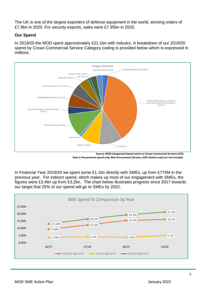The UK is one of the largest exporters of defence equipment in the world, winning orders of £7.9bn in 2020. For security exports, sales were £7.95bn in 2020.

### **Our Spend**

In 2019/20 the MOD spent approximately £21.1bn with industry. A breakdown of our 2019/20 spend by Crown Commercial Service Category coding is provided below which is expressed in millions.



**Source: MOD Categorised Spend return to Crown Commercial Services (CCS) Data is Procurement spend only, Non-Procurement (Grants, staff related costs) are not included.**

In Financial Year 2019/20 we spent some £1.1bn directly with SMEs, up from £775M in the previous year. For indirect spend, which makes up most of our engagement with SMEs, the figures were £3.4bn up from £3.2bn. The chart below illustrates progress since 2017 towards our target that 25% of our spend will go to SMEs by 2022.

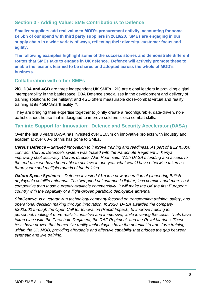# **Section 3 - Adding Value: SME Contributions to Defence**

**Smaller suppliers add real value to MOD's procurement activity, accounting for some £4.5bn of our spend with third party suppliers in 2019/20. SMEs are engaging in our supply chain in a wide variety of ways, reflecting their diversity, customer focus and agility.** 

**The following examples highlight some of the success stories and demonstrate different routes that SMEs take to engage in UK defence. Defence will actively promote these to enable the lessons learned to be shared and adopted across the whole of MOD's business.** 

# **Collaboration with other SMEs**

**2iC, D3A and 4GD** are three independent UK SMEs. 2iC are global leaders in providing digital interoperability in the battlespace; D3A Defence specialises in the development and delivery of training solutions to the military; and 4GD offers measurable close-combat virtual and reality training at its 4GD SmartFacility™.

They are bringing their expertise together to jointly create a reconfigurable, data-driven, nonballistic shoot house that is designed to improve soldiers' close combat skills.

# **Tap into Support for Innovation: Defence and Security Accelerator (DASA)**

Over the last 3 years DASA has invested over £103m on innovative projects with industry and academia; over 60% of this has gone to SMEs.

*Cervus Defence – data-led innovation to improve training and readiness. As part of a £240,000 contract, Cervus Defence's system was trialled with the Parachute Regiment in Kenya, improving shot accuracy. Cervus director Alan Roan said: 'With DASA's funding and access to the end-user we have been able to achieve in one year what would have otherwise taken us three years and multiple rounds of fundraising.'* 

*Oxford Space Systems – Defence invested £1m in a new generation of pioneering British deployable satellite antennas. The 'wrapped rib' antenna is lighter, less complex and more costcompetitive than those currently available commercially. It will make the UK the first European country with the capability of a flight-proven parabolic deployable antenna.*

*SimCentric, is a veteran-run technology company focused on transforming training, safety, and operational decision making through innovation. In 2020, DASA awarded the company £300,000 through the Open Call for Innovation (Rapid Impact), to improve training for personnel, making it more realistic, intuitive and immersive, while lowering the costs. Trials have taken place with the Parachute Regiment, the RAF Regiment, and the Royal Marines. These tests have proven that Immersive reality technologies have the potential to transform training within the UK MOD, providing affordable and effective capability that bridges the gap between synthetic and live training.*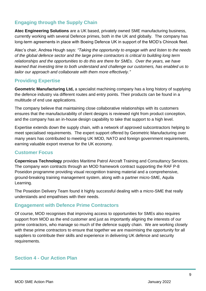# **Engaging through the Supply Chain**

**Atec Engineering Solutions** are a UK based, privately owned SME manufacturing business, currently working with several Defence primes, both in the UK and globally. The company has long-term agreements in place with Boeing Defence UK in support of the MOD's Chinook fleet.

Atec's chair, Andrea Hough says: *"Taking the opportunity to engage with and listen to the needs of the global defence sector and the large prime contractors is critical to building long term relationships and the opportunities to do this are there for SMEs. Over the years, we have learned that investing time to both understand and challenge our customers, has enabled us to tailor our approach and collaborate with them more effectively."*

# **Providing Expertise**

**Geometric Manufacturing Ltd,** a specialist machining company has a long history of supplying the defence industry via different routes and entry points. Their products can be found in a multitude of end use applications.

The company believe that maintaining close collaborative relationships with its customers ensures that the manufacturability of client designs is reviewed right from product conception, and the company has an in-house design capability to take that support to a high level.

Expertise extends down the supply chain, with a network of approved subcontractors helping to meet specialised requirements. The expert support offered by Geometric Manufacturing over many years has contributed to meeting UK MOD, NATO and foreign government requirements, earning valuable export revenue for the UK economy.

## **Customer Focus**

**Copernicus Technology** provides Maritime Patrol Aircraft Training and Consultancy Services. The company won contracts through an MOD framework contract supporting the RAF P-8 Poseidon programme providing visual recognition training material and a comprehensive, ground-breaking training management system, along with a partner micro-SME, Aquila Learning.

The Poseidon Delivery Team found it highly successful dealing with a micro-SME that really understands and empathises with their needs.

# **Engagement with Defence Prime Contractors**

Of course, MOD recognises that improving access to opportunities for SMEs also requires support from MOD as the end customer and just as importantly aligning the interests of our prime contractors, who manage so much of the defence supply chain. We are working closely with these prime contractors to ensure that together we are maximising the opportunity for all suppliers to contribute their skills and experience in delivering UK defence and security requirements.

## <span id="page-8-0"></span>**Section 4 - Our Action Plan**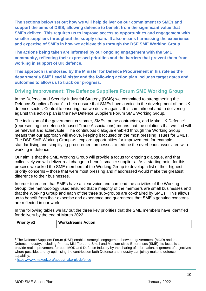**The sections below set out how we will help deliver on our commitment to SMEs and support the aims of DSIS, allowing defence to benefit from the significant value that SMEs deliver. This requires us to improve access to opportunities and engagement with smaller suppliers throughout the supply chain. It also means harnessing the experience and expertise of SMEs in how we achieve this through the DSF SME Working Group.** 

**The actions being taken are informed by our ongoing engagement with the SME community, reflecting their expressed priorities and the barriers that prevent them from working in support of UK defence.**

**This approach is endorsed by the Minister for Defence Procurement in his role as the department's SME Lead Minister and the following action plan includes target dates and outcomes to allow us to track our progress.** 

# **Driving Improvement: The Defence Suppliers Forum SME Working Group**

In the Defence and Security Industrial Strategy (DSIS) we committed to strengthening the Defence Suppliers Forum<sup>4</sup> to help ensure that SMEs have a voice in the development of the UK defence sector. Central to ensuring that we deliver against this commitment and to delivering against this action plan is the new Defence Suppliers Forum SME Working Group.

The inclusion of the government customer, SMEs, prime contractors, and Make UK Defence<sup>5</sup> (representing the defence focused Trade Associations) means that the solutions that we find will be relevant and achievable. The continuous dialogue enabled through the Working Group means that our approach will evolve, keeping it focused on the most pressing issues for SMEs. The DSF SME Working Group will explore opportunities for improvement, for example standardising and simplifying procurement processes to reduce the overheads associated with working in defence.

Our aim is that the SME Working Group will provide a focus for ongoing dialogue, and that collectively we will deliver real change to benefit smaller suppliers. As a starting point for this process we asked the SME members of the Working Group to develop a list of their highest priority concerns – those that were most pressing and if addressed would make the greatest difference to their businesses.

In order to ensure that SMEs have a clear voice and can lead the activities of the Working Group, the methodology used ensured that a majority of the members are small businesses and that the Working Group and each of the three sub-groups are co-chaired by SMEs. This allows us to benefit from their expertise and experience and guarantees that SME's genuine concerns are reflected in our work.

In the following tables we lay out the three key priorities that the SME members have identified for delivery by the end of March 2022.

| <b>Priority #1</b> | <b>Workstreams Action</b> |
|--------------------|---------------------------|
|                    |                           |

<sup>4</sup> The Defence Suppliers Forum (DSF) enables strategic engagement between government (MOD) and the Defence Industry, including Primes, Mid-Tier, and Small and Medium-sized Enterprises (SME). Its focus is to provide real improvement for both MOD and Defence Industry by the sharing of information, alignment of objectives where possible, and by optimising the contribution both Defence and Industry can jointly make to defence capability.

<sup>5</sup> <https://www.makeuk.org/about/make-uk-defence>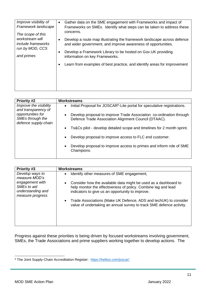| Improve visibility of     | Gather data on the SME engagement with Frameworks and impact of                                            |
|---------------------------|------------------------------------------------------------------------------------------------------------|
| Framework landscape       | $\bullet$                                                                                                  |
| The scope of this         | Frameworks on SMEs. Identify what steps can be taken to address these                                      |
| workstream will           | concerns.                                                                                                  |
| <i>include frameworks</i> | Develop a route map illustrating the framework landscape across defence                                    |
| run by MOD, CCS           | and wider government, and improve awareness of opportunities.                                              |
| and primes                | Develop a Framework Library to be hosted on Gov. UK providing                                              |
|                           | information on key Frameworks.<br>Learn from examples of best practice, and identify areas for improvement |

| <b>Priority #2</b>                                            | <b>Workstreams</b>                                                                                                                       |
|---------------------------------------------------------------|------------------------------------------------------------------------------------------------------------------------------------------|
| Improve the visibility<br>and transparency of                 | Initial Proposal for JOSCAR <sup>6</sup> -Lite portal for speculative registrations.<br>$\bullet$                                        |
| opportunities for<br>SMEs through the<br>defence supply-chain | Develop proposal to improve Trade Association co-ordination through<br>$\bullet$<br>Defence Trade Association Alignment Council (DTAAC). |
|                                                               | Ts&Cs pilot - develop detailed scope and timelines for 2 month sprint.<br>$\bullet$                                                      |
|                                                               | Develop proposal to improve access to FLC end customer.<br>$\bullet$                                                                     |
|                                                               | Develop proposal to improve access to primes and inform role of SME<br>$\bullet$<br>Champions.                                           |

| <b>Priority #3</b>      | <b>Workstreams</b>                                                                                                                                    |
|-------------------------|-------------------------------------------------------------------------------------------------------------------------------------------------------|
| Develop ways to         | Identify other measures of SME engagement,                                                                                                            |
| measure MOD's           | $\bullet$                                                                                                                                             |
| engagement with         | Consider how the available data might be used as a dashboard to                                                                                       |
| SME <sub>s</sub> to aid | $\bullet$                                                                                                                                             |
| understanding and       | help monitor the effectiveness of policy. Combine lag and lead                                                                                        |
| measure progress        | indicators to give us an opportunity to improve.                                                                                                      |
|                         | Trade Associations (Make UK Defence, ADS and techUK) to consider<br>$\bullet$<br>value of undertaking an annual survey to track SME defence activity. |

Progress against these priorities is being driven by focused workstreams involving government, SMEs, the Trade Associations and prime suppliers working together to develop actions. The

<sup>&</sup>lt;sup>6</sup> The Joint Supply-Chain Accreditation Register: <https://hellios.com/joscar/>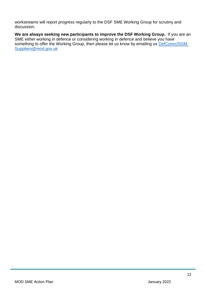workstreams will report progress regularly to the DSF SME Working Group for scrutiny and discussion.

**We are always seeking new participants to improve the DSF Working Group.** If you are an SME either working in defence or considering working in defence and believe you have something to offer the Working Group, then please let us know by emailing us [DefComrclSSM-](mailto:DefComrclSSM-Suppliers@mod.gov.uk)[Suppliers@mod.gov.uk](mailto:DefComrclSSM-Suppliers@mod.gov.uk)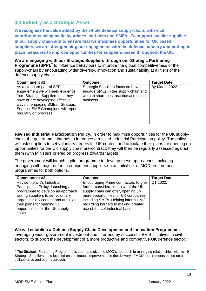# **4.1 Industry as a Strategic Asset**

**We recognise the value added by the whole defence supply-chain, with vital contributions being made by primes, mid-tiers and SMEs. To support smaller suppliers in our supply chain and to ensure that we maximise opportunities for UK based suppliers, we are strengthening our engagement with the defence industry and putting in place measures to improve opportunities for suppliers based throughout the UK.** 

**We are engaging with our Strategic Suppliers through our Strategic Partnering Programme (SPP).**<sup>7</sup> to influence behaviours to improve the global competitiveness of the supply-chain by encouraging wider diversity, innovation and sustainability at all tiers of the defence supply chain.

| <b>Commitment #1</b>                                                                                                                                                                                                                        | <b>Outcome</b>                                                                                                                   | <b>Target Date</b> |
|---------------------------------------------------------------------------------------------------------------------------------------------------------------------------------------------------------------------------------------------|----------------------------------------------------------------------------------------------------------------------------------|--------------------|
| As a standard part of SPP<br>engagement we will seek evidence<br>from Strategic Suppliers that they<br>have or are developing effective<br>ways of engaging SMEs. Strategic<br>Supplier SME Champions will report<br>regularly on progress. | Strategic Suppliers focus on how to<br>engage SMEs in the supply chain and<br>we can share best practice across our<br>business. | By March 2022.     |

<span id="page-12-0"></span>**Revised Industrial Participation Policy.** In order to maximise opportunities for the UK supplychain, the government intends to introduce a revised Industrial Participation policy. The policy will ask suppliers to set voluntary targets for UK content and articulate their plans for opening up opportunities for the UK supply chain pre-contract; they will then be regularly assessed against them (with Ministers briefed on progress towards targets).

The government will launch a pilot programme to develop these approaches, including engaging with major defence equipment suppliers on an initial set of MOD procurement programmes for both options.

| <b>Commitment #2</b>                                                                                                                                                                                            | <b>Outcome</b>                                                                                                                                                                                                                           | <b>Target Date</b> |
|-----------------------------------------------------------------------------------------------------------------------------------------------------------------------------------------------------------------|------------------------------------------------------------------------------------------------------------------------------------------------------------------------------------------------------------------------------------------|--------------------|
| Revise the UK's Industrial<br>Participation Policy, launching a<br>programme to develop an approach<br>asking suppliers to set voluntary<br>targets for UK content and articulate<br>their plans for opening up | Encouraging Prime contractors to give<br>further consideration to what the UK<br>supply chain can offer, opening up<br>more opportunities for UK companies<br>including SMEs. Helping inform HMG<br>regarding barriers to making greater | Q1 2022.           |
| opportunities for the UK supply<br>chain.                                                                                                                                                                       | use of the UK industrial base.                                                                                                                                                                                                           |                    |

**We will establish a Defence Supply Chain Development and Innovation Programme,** leveraging wider government investment and informed by successful BEIS initiatives in civil sectors, to support the development of a more productive and competitive UK defence sector.

<sup>7</sup> The Strategic Partnering Programme is the name given to MOD's approach to managing relationships with its 19 Strategic Suppliers. It is focused on continuous improvement in the delivery of MOD requirements based on a collaborative and open approach.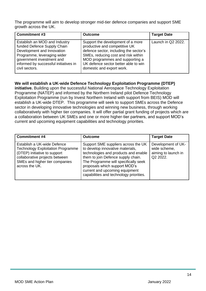The programme will aim to develop stronger mid-tier defence companies and support SME growth across the UK.

| <b>Commitment #3</b>                                                                                                                                                                                              | <b>Outcome</b>                                                                                                                                                                                                                                              | <b>Target Date</b> |
|-------------------------------------------------------------------------------------------------------------------------------------------------------------------------------------------------------------------|-------------------------------------------------------------------------------------------------------------------------------------------------------------------------------------------------------------------------------------------------------------|--------------------|
| Establish an MOD and Industry<br>funded Defence Supply Chain<br>Development and Innovation<br>Programme, leveraging wider<br>government investment and<br>informed by successful initiatives in<br>civil sectors. | Support the development of a more<br>productive and competitive UK<br>defence sector, including the sector's<br>SMEs, reducing cost and risk within<br>MOD programmes and supporting a<br>UK defence sector better able to win<br>domestic and export work. | Launch in Q2 2022. |

### **We will establish a UK-wide Defence Technology Exploitation Programme (DTEP)**

**initiative.** Building upon the successful National Aerospace Technology Exploitation Programme (NATEP) and informed by the Northern Ireland pilot Defence Technology Exploitation Programme (run by Invest Northern Ireland with support from BEIS) MOD will establish a UK-wide DTEP. This programme will seek to support SMEs across the Defence sector in developing innovative technologies and winning new business, through working collaboratively with higher tier companies. It will offer partial grant funding of projects which are a collaboration between UK SMEs and one or more higher-tier partners, and support MOD's current and upcoming equipment capabilities and technology priorities.

| <b>Commitment #4</b>                                                                                                                                                                          | <b>Outcome</b>                                                                                                                                                                                                                                                                                              | <b>Target Date</b>                                                    |
|-----------------------------------------------------------------------------------------------------------------------------------------------------------------------------------------------|-------------------------------------------------------------------------------------------------------------------------------------------------------------------------------------------------------------------------------------------------------------------------------------------------------------|-----------------------------------------------------------------------|
| Establish a UK-wide Defence<br><b>Technology Exploitation Programme</b><br>(DTEP) initiative to support<br>collaborative projects between<br>SMEs and higher tier companies<br>across the UK. | Support SME suppliers across the UK<br>to develop innovative materials,<br>technologies and products and enable<br>them to join Defence supply chain.<br>The Programme will specifically seek<br>proposals which support MOD's<br>current and upcoming equipment<br>capabilities and technology priorities. | Development of UK-<br>wide scheme.<br>aiming to launch in<br>Q2 2022. |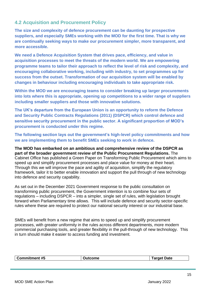# **4.2 Acquisition and Procurement Policy**

**The size and complexity of defence procurement can be daunting for prospective suppliers, and especially SMEs working with the MOD for the first time. That is why we are continually seeking ways to make our procurement simpler, more transparent, and more accessible.** 

**We need a Defence Acquisition System that drives pace, efficiency, and value in acquisition processes to meet the threats of the modern world. We are empowering programme teams to tailor their approach to reflect the level of risk and complexity, and encouraging collaborative working, including with industry, to set programmes up for success from the outset. Transformation of our acquisition system will be enabled by changes in behaviour including encouraging individuals to take appropriate risk.**

**Within the MOD we are encouraging teams to consider breaking up larger procurements into lots where this is appropriate, opening up competitions to a wider range of suppliers including smaller suppliers and those with innovative solutions.** 

**The UK's departure from the European Union is an opportunity to reform the Defence and Security Public Contracts Regulations (2011) (DSPCR) which control defence and sensitive security procurement in the public sector. A significant proportion of MOD's procurement is conducted under this regime.**

**The following section lays out the government's high-level policy commitments and how we are implementing them to benefit SMEs seeking to work in defence.** 

**The MOD has embarked on an ambitious and comprehensive review of the DSPCR as part of the broader government review of the Public Procurement Regulations.** The Cabinet Office has published a Green Paper on Transforming Public Procurement which aims to speed up and simplify procurement processes and place value for money at their heart. Through this we will improve the pace and agility of acquisition, simplify the regulatory framework, tailor it to better enable innovation and support the pull through of new technology into defence and security capability.

As set out in the December 2021 Government response to the public consultation on transforming public procurement, the Government intention is to combine four sets of regulations – including DSPCR – into a simpler, single set of rules, with legislation brought forward when Parliamentary time allows. This will include defence and security sector-specific rules where these are required to protect our national security interest or our industrial base.

SMEs will benefit from a new regime that aims to speed up and simplify procurement processes, with greater uniformity in the rules across different departments, more modern commercial purchasing tools, and greater flexibility in the pull-through of new technology. This in turn should make it easier to access funding and investment.

| Commitment #5<br><b>Target Date</b><br><b>Dutcome</b> |
|-------------------------------------------------------|
|-------------------------------------------------------|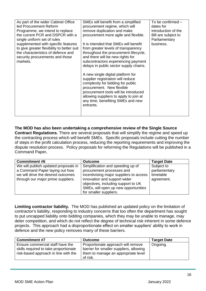| As part of the wider Cabinet Office        | SMEs will benefit from a simplified    | To be confirmed $-$ |
|--------------------------------------------|----------------------------------------|---------------------|
| led Procurement Reform                     | procurement regime, which will         | dates for           |
| Programme, we intend to replace            | remove duplication and make            | introduction of the |
| the current PCR and DSPCR with a           | procurement more agile and flexible.   | Bill are subject to |
| single uniform set of rules                |                                        | Parliamentary       |
| supplemented with specific features        | It is intended that SMEs will benefit  | business.           |
| to give greater flexibility to better suit | from greater levels of transparency    |                     |
| the characteristics of defence and         | throughout the procurement lifecycle,  |                     |
| security procurements and those            | and there will be new rights for       |                     |
| markets.                                   | subcontractors experiencing payment    |                     |
|                                            | delays in public sector supply chains. |                     |
|                                            |                                        |                     |
|                                            | A new single digital platform for      |                     |
|                                            | supplier registration will reduce      |                     |
|                                            | complexity for bidding for public      |                     |
|                                            | procurement. New flexible              |                     |
|                                            | procurement tools will be introduced   |                     |
|                                            | allowing suppliers to apply to join at |                     |
|                                            | any time, benefiting SMEs and new      |                     |
|                                            |                                        |                     |
|                                            | entrants.                              |                     |
|                                            |                                        |                     |
|                                            |                                        |                     |

### **The MOD has also been undertaking a comprehensive review of the Single Source Contract Regulations.** There are several proposals that will simplify the regime and speed up the contracting process which will benefit SMEs. Specific proposals include cutting the number of steps in the profit calculation process, reducing the reporting requirements and improving the dispute resolution process. Policy proposals for reforming the Regulations will be published in a Command Paper**.**

| <b>Commitment #6</b>                 | <b>Outcome</b>                          | <b>Target Date</b> |
|--------------------------------------|-----------------------------------------|--------------------|
| We will publish updated proposals in | Simplification and speeding up of       | Subject to         |
| a Command Paper laying out how       | procurement processes and               | parliamentary      |
| we will drive the desired outcomes   | incentivising major suppliers to access | timetable          |
| through our major prime suppliers.   | innovation and support wider            | agreement.         |
|                                      | objectives, including support to UK     |                    |
|                                      | SMEs, will open up new opportunities    |                    |
|                                      | for smaller suppliers.                  |                    |

**Limiting contractor liability.** The MOD has published an updated policy on the limitation of contractor's liability, responding to industry concerns that too often the department has sought to put uncapped liability onto bidding companies, which they may be unable to manage, may deter competition, and which do not reflect the degree of technical risk inherent in some defence projects. This approach had a disproportionate effect on smaller suppliers' ability to work in defence and the new policy removes many of these barriers.

| <b>Commitment #7</b>                  | <b>Outcome</b>                          | <b>Target Date</b> |
|---------------------------------------|-----------------------------------------|--------------------|
| Ensure commercial staff have the      | Proportionate approach will remove      | Ongoing.           |
| skills required to take proportionate | barrier for smaller suppliers, allowing |                    |
| risk-based approach in line with the  | them to manage an appropriate level     |                    |
|                                       | of risk.                                |                    |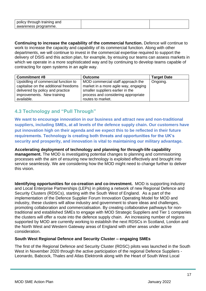| policy through training and |  |
|-----------------------------|--|
| awareness programme.        |  |

**Continuing to increase the capability of the commercial function.** Defence will continue to work to increase the capacity and capability of its commercial function. Along with other departments, we will continue to invest in the commercial expertise required to support the delivery of DSIS and this action plan, for example, by ensuing our teams can assess markets in which we operate in a more sophisticated way and by continuing to develop teams capable of contracting for open systems in an agile way.

| <b>Commitment #8</b>                  | <b>Outcome</b>                       | <b>Target Date</b> |
|---------------------------------------|--------------------------------------|--------------------|
| Upskilling of commercial function to  | MOD commercial staff approach the    | Ongoing.           |
| capitalise on the additional freedoms | market in a more agile way, engaging |                    |
| delivered by policy and practice      | smaller suppliers earlier in the     |                    |
| improvements. New training            | process and considering appropriate  |                    |
| available.                            | routes to market.                    |                    |

# **4.3 Technology and "Pull Through"**

**We want to encourage innovation in our business and attract new and non-traditional suppliers, including SMEs, at all levels of the defence supply chain. Our customers have put innovation high on their agenda and we expect this to be reflected in their future requirements. Technology is creating both threats and opportunities for the UK's security and prosperity, and innovation is vital to maintaining our military advantage.** 

**Accelerating deployment of technology and planning for through-life capability management.** The MOD is investigating potential changes to planning and commissioning processes with the aim of ensuring new technology is exploited effectively and brought into service seamlessly. We are considering how the MOD might need to change further to deliver this vision.

**Identifying opportunities for co-creation and co-investment.** MOD is supporting industry and Local Enterprise Partnerships (LEPs) in piloting a network of new Regional Defence and Security Clusters (RDSCs), starting with the South West of England. As a part of the implementation of the Defence Supplier Forum Innovation Operating Model for MOD and industry, these clusters will allow industry and government to share ideas and challenges, promoting collaboration and commercialisation. By creating collaborative pathways for nontraditional and established SMEs to engage with MOD Strategic Suppliers and Tier 1 companies the clusters will offer a route into the defence supply chain. An increasing number of regions supported by MOD are currently working to establish the next RDSCs in Scotland, London and the North West and Western Gateway areas of England with other areas under active consideration.

### **South West Regional Defence and Security Cluster – engaging SMEs**

The first of the Regional Defence and Security Cluster (RDSC) pilots was launched in the South West in November 2020 through the active participation of the regional Defence Suppliers - Leonardo, Babcock, Thales and Atlas Elektronik along with the Heart of South West Local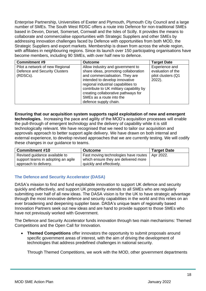Enterprise Partnership, Universities of Exeter and Plymouth, Plymouth City Council and a large number of SMEs. The South West RDSC offers a route into Defence for non-traditional SMEs based in Devon, Dorset, Somerset, Cornwall and the Isles of Scilly. It provides the means to collaborate and commercialise opportunities with Strategic Suppliers and other SMEs by addressing innovation challenges faced by Defence with opportunities from both MOD, the Strategic Suppliers and export markets. Membership is drawn from across the whole region, with affiliates in neighbouring regions. Since its launch over 150 participating organisations have become members, including 90 SMEs, with over half new to defence.

| <b>Commitment #9</b>                                                         | <b>Outcome</b>                                                                                                                                                                                                                                                                                                              | <b>Target Date</b>                                                     |
|------------------------------------------------------------------------------|-----------------------------------------------------------------------------------------------------------------------------------------------------------------------------------------------------------------------------------------------------------------------------------------------------------------------------|------------------------------------------------------------------------|
| Pilot a network of new Regional<br>Defence and Security Clusters<br>(RDSCs). | Allow industry and government to<br>share ideas, promoting collaboration<br>and commercialisation. They are<br>intended to develop innovative<br>regional industrial capabilities to<br>contribute to UK military capability by<br>creating collaborative pathways for<br>SMEs as a route into the<br>defence supply chain. | Experience and<br>evaluation of the<br>pilot clusters (Q1<br>$2022$ ). |

**Ensuring that our acquisition system supports rapid exploitation of new and emergent technologies.** Increasing the pace and agility of the MOD's acquisition processes will enable the pull-through of emergent technology and the delivery of capability while it is still technologically relevant. We have recognised that we need to tailor our acquisition and approvals approach to better support agile delivery. We have drawn on both internal and external experience, to develop revised approaches that we are currently testing. We will codify these changes in our guidance to teams.

| <b>Commitment #10</b>              | <b>Outcome</b>                       | <b>Target Date</b> |
|------------------------------------|--------------------------------------|--------------------|
| Revised guidance available to      | Fast moving technologies have routes | Apr 2022.          |
| support teams in adopting an agile | which ensure they are delivered more |                    |
| approach to delivery.              | quickly and effectively.             |                    |

### **The Defence and Security Accelerator (DASA)**

DASA's mission to find and fund exploitable innovation to support UK defence and security quickly and effectively, and support UK prosperity extends to all SMEs who are regularly submitting over half of all new ideas. The DASA vision is for the UK to have strategic advantage through the most innovative defence and security capabilities in the world and this relies on an ever broadening and deepening supplier base. DASA's unique team of regionally based Innovation Partners seek out new ideas and are hand to provide support to those SMEs who have not previously worked with Government.

The Defence and Security Accelerator funds innovation through two main mechanisms: Themed Competitions and the Open Call for Innovation.

**Themed Competitions** offer innovators the opportunity to submit proposals around specific government areas of interest, with the aim of driving the development of technologies that address predefined challenges in national security.

Through Themed Competitions, we work with the MOD, other government departments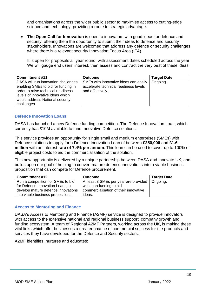and organisations across the wider public sector to maximise access to cutting-edge science and technology, providing a route to strategic advantage.

• **The Open Call for Innovation** is open to innovators with good ideas for defence and security, offering them the opportunity to submit their ideas to defence and security stakeholders. Innovations are welcomed that address any defence or security challenges where there is a relevant security Innovation Focus Area (IFA).

It is open for proposals all year round, with assessment dates scheduled across the year. We will gauge end users' interest, then assess and contract the very best of these ideas.

| <b>Commitment #11</b>                                                                                                                                                                                  | <b>Outcome</b>                                                                                     | <b>Target Date</b> |
|--------------------------------------------------------------------------------------------------------------------------------------------------------------------------------------------------------|----------------------------------------------------------------------------------------------------|--------------------|
| DASA will run innovation challenges<br>enabling SMEs to bid for funding in<br>order to raise technical readiness<br>levels of innovative ideas which<br>would address National security<br>challenges. | SMEs with innovative ideas can easily<br>accelerate technical readiness levels<br>and effectively. | Ongoing.           |

### **Defence Innovation Loans**

DASA has launched a new Defence funding competition: The Defence Innovation Loan, which currently has £10M available to fund Innovative Defence solutions.

This service provides an opportunity for single small and medium enterprises (SMEs) with Defence solutions to apply for a Defence Innovation Loan of between **£250,000** and **£1.6 million** with an interest **rate of 7.4% per annum**. This loan can be used to cover up to 100% of eligible project costs to aid the commercialisation of the solution.

This new opportunity is delivered by a unique partnership between DASA and Innovate UK, and builds upon our goal of helping to convert mature defence innovations into a viable business proposition that can compete for Defence procurement.

| <b>Commitment #12</b>              | <b>Outcome</b>                        | <b>Target Date</b> |
|------------------------------------|---------------------------------------|--------------------|
| Run a competition for SMEs to bid  | At least 3 SMEs per year are provided | Ongoing.           |
| for Defence Innovation Loans to    | with loan funding to aid              |                    |
| develop mature defence innovations | commercialisation of their innovative |                    |
| into viable business propositions. | ideas.                                |                    |

### **Access to Mentoring and Finance**

DASA's Access to Mentoring and Finance (A2MF) service is designed to provide innovators with access to the extensive national and regional business support, company growth and funding ecosystem. A team of Regional A2MF Partners, working across the UK, is making these vital links which offer businesses a greater chance of commercial success for the products and services they have developed for the Defence and Security sectors.

A2MF identifies, nurtures and educates: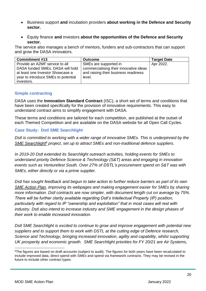- Business support **and** incubation providers **about working in the Defence and Security sector.**
- Equity finance **and** investors **about the opportunities of the Defence and Security sector.**

The service also manages a bench of mentors, funders and sub-contractors that can support and grow the DASA innovators.

| <b>Commitment #13</b>                                                                                  | <b>Outcome</b>                                                                                          | <b>Target Date</b> |
|--------------------------------------------------------------------------------------------------------|---------------------------------------------------------------------------------------------------------|--------------------|
| Provide an A2MF service to all<br>DASA funded SMEs. DASA will hold<br>at least one Investor Showcase a | SMEs are supported in<br>commercialising their innovative ideas<br>and raising their business readiness | Apr 2022.          |
| year to introduce SMEs to potential<br>investors.                                                      | level.                                                                                                  |                    |

### **Simple contracting**

DASA uses the **Innovation Standard Contract** (ISC), a short set of terms and conditions that have been created specifically for the provision of innovative requirements. This easy to understand contract aims to simplify engagement with DASA.

These terms and conditions are tailored for each competition, are published at the outset of each Themed Competition and are available on the DASA website for all Open Call Cycles.

### **Case Study: Dstl SME Searchlight**

*Dstl is committed to working with a wider range of innovative SMEs. This is underpinned by the [SME Searchlight](https://www.gov.uk/government/news/defence-science-and-technology-laboratory-launches-sme-searchlight-to-harness-innovation)<sup>8</sup> project, set up to attract SMEs and non-traditional defence suppliers.* 

*In 2019-20 Dstl extended its Searchlight outreach activities, holding events for SMEs to understand priority Defence Science & Technology (S&T) areas and engaging in innovation events such as Venturefest South. Over 27% of DSTL's procurement spend on S&T was with SMEs, either directly or via a prime supplier.*

*Dstl has sought feedback and begun to take action to further reduce barriers as part of its own [SME Action Plan,](https://www.gov.uk/government/publications/dstl-sme-action-plan-2020-to-2025) improving its webpages and making engagement easier for SMEs by sharing more information. Dstl contracts are now simpler, with document length cut on average by 75%. There will be further clarity available regarding Dstl's Intellectual Property (IP) position, particularly with regard to IP "ownership and exploitation" that in most cases will rest with industry. Dstl also intend to increase industry and SME engagement in the design phases of their work to enable increased innovation.*

*Dstl SME Searchlight is excited to continue to grow and improve engagement with potential new suppliers and to support them to work with DSTL at the cutting edge of Defence research, Science and Technology, bringing increased innovation, agility and capability, whilst supporting UK prosperity and economic growth. SME Searchlight priorities for FY 20/21 are Air Systems,* 

<sup>&</sup>lt;sup>8</sup>The figures are based on draft accounts (subject to audit). The figures for both years have been recalculated to include improved data, direct spend with SMEs and spend via framework contracts. They may be revised in the future to include other contract types.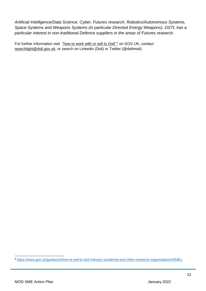*Artificial Intelligence/Data Science, Cyber, Futures research, Robotics/Autonomous Systems, Space Systems and Weapons Systems (in particular Directed Energy Weapons). DSTL has a particular interest in non-traditional Defence suppliers in the areas of Futures research.* 

For further information visit ["how to work with or sell to Dstl"](https://www.gov.uk/guidance/how-to-sell-to-dstl-industry-academia-and-other-research-organisations) 9 on GOV.UK, contact [searchlight@dstl.gov.uk,](mailto:searchlight@dstl.gov.uk) or search on Linkedin (Dstl) or Twitter (@dstlmod).

<sup>9</sup> <https://www.gov.uk/guidance/how-to-sell-to-dstl-industry-academia-and-other-research-organisations#SMEs>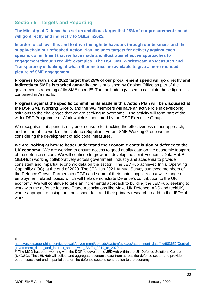# **Section 5 - Targets and Reporting**

**The Ministry of Defence has set an ambitious target that 25% of our procurement spend will go directly and indirectly to SMEs in2022.** 

**In order to achieve this and to drive the right behaviours through our business and the supply-chain our refreshed Action Plan includes targets for delivery against each specific commitment that we have made and illustrates effective approaches to engagement through real-life examples. The DSF SME Workstream on Measures and Transparency is looking at what other metrics are available to give a more rounded picture of SME engagement.** 

**Progress towards our 2022 target that 25% of our procurement spend will go directly and indirectly to SMEs is tracked annually** and is published by Cabinet Office as part of the government's reporting of its SME spend<sup>10</sup>. The methodology used to calculate these figures is contained in Annex E.

**Progress against the specific commitments made in this Action Plan will be discussed at the DSF SME Working Group**, and the WG members will have an active role in developing solutions to the challenges that we are seeking to overcome. The activity will form part of the wider DSF Programme of Work which is monitored by the DSF Executive Group.

We recognise that spend is only one measure for tracking the effectiveness of our approach. and as part of the work of the Defence Suppliers' Forum SME Working Group we are considering the development of additional measures.

**We are looking at how to better understand the economic contribution of defence to the UK economy.** We are working to ensure access to good quality data on the economic footprint of the defence sectors. We will continue to grow and develop the Joint Economic Data Hub<sup>11</sup> (JEDHub) working collaboratively across government, industry and academia to provide consistent and impartial economic data on the sector. The JEDHub achieved Initial Operating Capability (IOC) at the end of 2020. The JEDHub 2021 Annual Survey surveyed members of the Defence Growth Partnership (DGP) and some of their main suppliers on a wide range of employment related topics, which will help demonstrate Defence's contribution to the UK economy. We will continue to take an incremental approach to building the JEDHub, seeking to work with the defence focused Trade Associations like Make UK Defence, ADS and techUK, where appropriate, using their published data and their primary research to add to the JEDHub work.

10

https://assets.publishing.service.gov.uk/government/uploads/system/uploads/attachment\_data/file/983652/Central [government\\_direct\\_and\\_indirect\\_spend\\_with\\_SMEs\\_2019\\_to\\_2020.pdf](https://assets.publishing.service.gov.uk/government/uploads/system/uploads/attachment_data/file/983652/Central_government_direct_and_indirect_spend_with_SMEs_2019_to_2020.pdf)

<sup>&</sup>lt;sup>11</sup> The MOD has been working with the DGP to develop the JEDHub within the UK Defence Solutions Centre (UKDSC). The JEDHub will collect and aggregate economic data from across the defence sector and provide better, consistent and impartial data on the defence sector's contribution to the economy.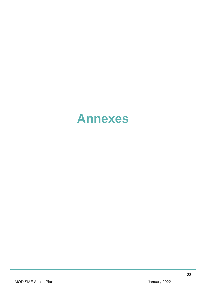# **Annexes**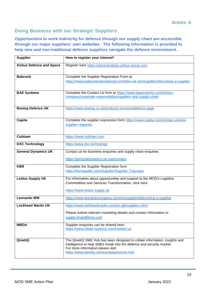# **Doing Business with our Strategic Suppliers**

**Opportunities to work indirectly for defence through our supply chain are accessible through our major suppliers' own websites. The following information is provided to help new and non-traditional defence suppliers navigate the defence environment.** 

| <b>Supplier</b>                 | How to register your interest*                                                                                                    |
|---------------------------------|-----------------------------------------------------------------------------------------------------------------------------------|
| <b>Airbus Defence and Space</b> | Register here https://eprocstrategic.airbus-group.com                                                                             |
|                                 |                                                                                                                                   |
| <b>Babcock</b>                  | Complete the Supplier Registration Form at<br>https://www.babcockinternational.com/who-we-are/suppliers/becoming-a-supplier       |
|                                 |                                                                                                                                   |
|                                 |                                                                                                                                   |
| <b>BAE Systems</b>              | Complete the Contact Us form at https://www.baesystems.com/en/our-<br>company/corporate-responsibility/suppliers-and-supply-chain |
|                                 |                                                                                                                                   |
|                                 |                                                                                                                                   |
| <b>Boeing Defence UK</b>        | https://www.boeing.co.uk/products-services/defence.page                                                                           |
|                                 |                                                                                                                                   |
| Capita                          | Complete the supplier expression form https://www.capita.com/contact-us/new-                                                      |
|                                 | supplier-requests                                                                                                                 |
|                                 |                                                                                                                                   |
| Cobham                          | https://www.cobham.com                                                                                                            |
| <b>DXC Technology</b>           | https://www.dxc.technology                                                                                                        |
|                                 |                                                                                                                                   |
| <b>General Dynamics UK</b>      | Contact us for business enquiries and supply chain enquiries                                                                      |
|                                 | https://generaldynamics.uk.com/contact                                                                                            |
| <b>KBR</b>                      | Complete the Supplier Registration form                                                                                           |
|                                 | https://kbrsupplier.com/Supplier/Supplier_Faq.aspx                                                                                |
| <b>Leidos Supply UK</b>         | For information about opportunities and support to the MOD's Logistics                                                            |
|                                 | Commodities and Services Transformation, click here                                                                               |
|                                 | https://www.leidos-supply.uk                                                                                                      |
|                                 |                                                                                                                                   |
| <b>Leonardo MW</b>              | https://www.leonardocompany.com/en/suppliers/becoming-a-supplier                                                                  |
| <b>Lockheed Martin UK</b>       | https://www.lockheedmartin.com/en-gb/suppliers.html                                                                               |
|                                 | Please submit relevant marketing details and contact information to                                                               |
|                                 | supply.lmuk@lmco.com                                                                                                              |
| <b>MBDA</b>                     | Supplier enquiries can be shared here:                                                                                            |
|                                 | https://www.mbda-systems.com/contact-us                                                                                           |
|                                 |                                                                                                                                   |
| QinetiQ                         | The QinetiQ SME Hub has been designed to collate information, insights and                                                        |
|                                 | intelligence to help SMEs break into the defence and security market                                                              |
|                                 | For more information please visit:                                                                                                |
|                                 | https://www.qinetiq.com/campaigns/sme-hub                                                                                         |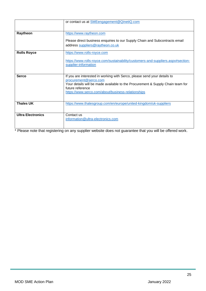|                          | or contact us at <b>SME</b> engagement@QinetiQ.com                               |
|--------------------------|----------------------------------------------------------------------------------|
|                          |                                                                                  |
| Raytheon                 | https://www.raytheon.com                                                         |
|                          |                                                                                  |
|                          | Please direct business enquiries to our Supply Chain and Subcontracts email      |
|                          | address suppliers@raytheon.co.uk                                                 |
| <b>Rolls Royce</b>       | https://www.rolls-royce.com                                                      |
|                          | https://www.rolls-royce.com/sustainability/customers-and-suppliers.aspx#section- |
|                          | supplier-information                                                             |
|                          |                                                                                  |
| <b>Serco</b>             | If you are interested in working with Serco, please send your details to         |
|                          | procurement@serco.com                                                            |
|                          | Your details will be made available to the Procurement & Supply Chain team for   |
|                          | future reference                                                                 |
|                          | https://www.serco.com/about/business-relationships                               |
|                          |                                                                                  |
| <b>Thales UK</b>         | https://www.thalesgroup.com/en/europe/united-kingdom/uk-suppliers                |
|                          |                                                                                  |
| <b>Ultra Electronics</b> | Contact us                                                                       |
|                          | information@ultra-electronics.com                                                |
|                          |                                                                                  |

\* Please note that registering on any supplier website does not guarantee that you will be offered work.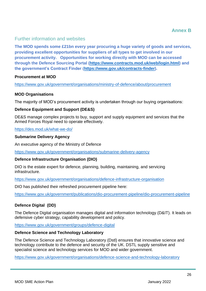# Further information and websites

**The MOD spends some £21bn every year procuring a huge variety of goods and services, providing excellent opportunities for suppliers of all types to get involved in our procurement activity. Opportunities for working directly with MOD can be accessed through the Defence Sourcing Portal [\(https://www.contracts.mod.uk/web/login.html\)](https://www.contracts.mod.uk/web/login.html) and the government's Contract Finder [\(https://www.gov.uk/contracts-finder\)](https://www.gov.uk/contracts-finder).**

### **Procurement at MOD**

<https://www.gov.uk/government/organisations/ministry-of-defence/about/procurement>

### **MOD Organisations**

The majority of MOD's procurement activity is undertaken through our buying organisations:

### **Defence Equipment and Support (DE&S)**

DE&S manage complex projects to buy, support and supply equipment and services that the Armed Forces Royal need to operate effectively.

### <https://des.mod.uk/what-we-do/>

### **Submarine Delivery Agency**

An executive agency of the Ministry of Defence

<https://www.gov.uk/government/organisations/submarine-delivery-agency>

### **Defence Infrastructure Organisation (DIO)**

DIO is the estate expert for defence, planning, building, maintaining, and servicing infrastructure.

<https://www.gov.uk/government/organisations/defence-infrastructure-organisation>

DIO has published their refreshed procurement pipeline here:

[https://www.gov.uk/government/publications/dio-procurement-pipeline/dio-procurement-pipeline](https://eur01.safelinks.protection.outlook.com/?url=https%3A%2F%2Fwww.gov.uk%2Fgovernment%2Fpublications%2Fdio-procurement-pipeline%2Fdio-procurement-pipeline&data=02%7C01%7CCaroline.Hose983%40mod.gov.uk%7C2b4757ae7945426ce2a308d86b8e19a6%7Cbe7760ed5953484bae95d0a16dfa09e5%7C0%7C0%7C637377605340733760&sdata=03Ef%2F9JOiIKb2DXwomnAVF9d6CFSm9id5pf05Iod%2Bgk%3D&reserved=0)

### **Defence Digital (DD)**

The Defence Digital organisation manages digital and information technology (D&IT). It leads on defensive cyber strategy, capability development and policy.

<https://www.gov.uk/government/groups/defence-digital>

### **Defence Science and Technology Laboratory**

The Defence Science and Technology Laboratory (Dstl) ensures that innovative science and technology contribute to the defence and security of the UK. DSTL supply sensitive and specialist science and technology services for MOD and wider government.

<https://www.gov.uk/government/organisations/defence-science-and-technology-laboratory>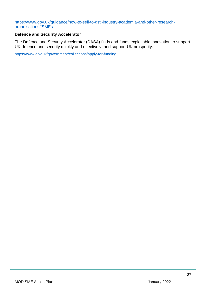[https://www.gov.uk/guidance/how-to-sell-to-dstl-industry-academia-and-other-research](https://www.gov.uk/guidance/how-to-sell-to-dstl-industry-academia-and-other-research-organisations#SMEs)[organisations#SMEs](https://www.gov.uk/guidance/how-to-sell-to-dstl-industry-academia-and-other-research-organisations#SMEs)

### **Defence and Security Accelerator**

The Defence and Security Accelerator (DASA) finds and funds exploitable innovation to support UK defence and security quickly and effectively, and support UK prosperity.

<https://www.gov.uk/government/collections/apply-for-funding>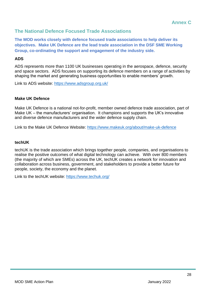# **The National Defence Focused Trade Associations**

**The MOD works closely with defence focused trade associations to help deliver its objectives. Make UK Defence are the lead trade association in the DSF SME Working Group, co-ordinating the support and engagement of the industry side.** 

### **ADS**

ADS represents more than 1100 UK businesses operating in the aerospace, defence, security and space sectors. ADS focuses on supporting its defence members on a range of activities by shaping the market and generating business opportunities to enable members' growth.

Link to ADS website:<https://www.adsgroup.org.uk/>

### **Make UK Defence**

Make UK Defence is a national not-for-profit, member owned defence trade association, part of Make UK – the manufacturers' organisation. It champions and supports the UK's innovative and diverse defence manufacturers and the wider defence supply chain.

Link to the Make UK Defence Website:<https://www.makeuk.org/about/make-uk-defence>

### **techUK**

techUK is the trade association which brings together people, companies, and organisations to realise the positive outcomes of what digital technology can achieve. With over 800 members (the majority of which are SMEs) across the UK, techUK creates a network for innovation and collaboration across business, government, and stakeholders to provide a better future for people, society, the economy and the planet.

Link to the techUK website: [https://www.techuk.org/](https://gbr01.safelinks.protection.outlook.com/?url=https%3A%2F%2Fwww.techuk.org%2F&data=04%7C01%7CJohn.Kite199%40mod.gov.uk%7C35a5b69e166447e0ab9d08d99f8fd796%7Cbe7760ed5953484bae95d0a16dfa09e5%7C0%7C0%7C637716262424918959%7CUnknown%7CTWFpbGZsb3d8eyJWIjoiMC4wLjAwMDAiLCJQIjoiV2luMzIiLCJBTiI6Ik1haWwiLCJXVCI6Mn0%3D%7C1000&sdata=4c6YNroQo9Unreeser3N%2FSEMvr7eNj5DSKZyLKF%2Bk2U%3D&reserved=0)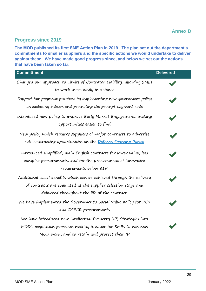# **Progress since 2019**

**The MOD published its first SME Action Plan in 2019. The plan set out the department's commitments to smaller suppliers and the specific actions we would undertake to deliver against these. We have made good progress since, and below we set out the actions that have been taken so far.** 

| <b>Committment</b>                                                                                                                                                                        | <b>Delivered</b> |
|-------------------------------------------------------------------------------------------------------------------------------------------------------------------------------------------|------------------|
| Changed our approach to Limits of Contrator Liability, allowing SMEs<br>to work more easily in defence                                                                                    |                  |
| Support fair payment practices by implementing new government policy<br>on excluding bidders and promoting the prompt payment code                                                        |                  |
| Introduced new policy to improve Early Market Engagement, making<br>opportunities easier to find                                                                                          |                  |
| New policy which requires suppliers of major contracts to advertise<br>sub-contracting opportunities on the Defence Sourcing Portal                                                       |                  |
| Introduced simplified, plain English contracts for lower value, less<br>complex procurements, and for the procurement of innovative<br>requirements below £1M                             |                  |
| Additional social benefits which can be achieved through the delivery<br>of contracts are evaluated at the supplier selection stage and<br>delivered throughout the life of the contract. |                  |
| We have implemented the Government's Social Value policy for PCR<br>and DSPCR procurements                                                                                                |                  |
| We have introduced new Intellectual Property (IP) Strategies into<br>MOD's acquisition processes making it easier for SMEs to win new<br>MOD work, and to retain and protect their IP     |                  |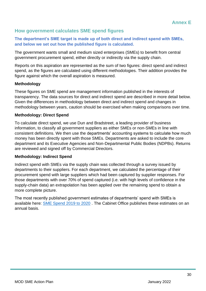# **How government calculates SME spend figures**

**The department's SME target is made up of both direct and indirect spend with SMEs, and below we set out how the published figure is calculated.**

The government wants small and medium sized enterprises (SMEs) to benefit from central government procurement spend, either directly or indirectly via the supply chain.

Reports on this aspiration are represented as the sum of two figures: direct spend and indirect spend, as the figures are calculated using different methodologies. Their addition provides the figure against which the overall aspiration is measured.

### **Methodology**

These figures on SME spend are management information published in the interests of transparency. The data sources for direct and indirect spend are described in more detail below. Given the differences in methodology between direct and indirect spend and changes in methodology between years, caution should be exercised when making comparisons over time.

### **Methodology: Direct Spend**

To calculate direct spend, we use Dun and Bradstreet, a leading provider of business information, to classify all government suppliers as either SMEs or non-SMEs in line with consistent definitions. We then use the departments' accounting systems to calculate how much money has been directly spent with those SMEs. Departments are asked to include the core department and its Executive Agencies and Non-Departmental Public Bodies (NDPBs). Returns are reviewed and signed off by Commercial Directors.

### **Methodology: Indirect Spend**

Indirect spend with SMEs via the supply chain was collected through a survey issued by departments to their suppliers. For each department, we calculated the percentage of their procurement spend with large suppliers which had been captured by supplier responses. For those departments with over 70% of spend captured (i.e. with high levels of confidence in the supply-chain data) an extrapolation has been applied over the remaining spend to obtain a more complete picture.

The most recently published government estimates of departments' spend with SMEs is available here: [SME Spend 2019 to 2020](https://www.gov.uk/government/publications/central-government-spend-with-smes-2019-to-2020) . The Cabinet Office publishes these estimates on an annual basis.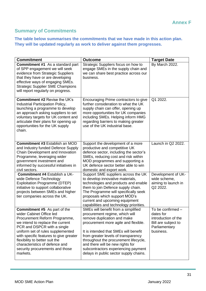# **Summary of Commitments**

**The table below summarises the commitments that we have made in this action plan. They will be updated regularly as work to deliver against them progresses.**

| <b>Commitment</b>                                                                                                                                                                                                                                                                                                                                                     | <b>Outcome</b>                                                                                                                                                                                                                                                                                                                                                                             | <b>Target Date</b>                                                                                         |
|-----------------------------------------------------------------------------------------------------------------------------------------------------------------------------------------------------------------------------------------------------------------------------------------------------------------------------------------------------------------------|--------------------------------------------------------------------------------------------------------------------------------------------------------------------------------------------------------------------------------------------------------------------------------------------------------------------------------------------------------------------------------------------|------------------------------------------------------------------------------------------------------------|
| <b>Commitment #1</b> As a standard part<br>of SPP engagement we will seek<br>evidence from Strategic Suppliers<br>that they have or are developing<br>effective ways of engaging SMEs.<br><b>Strategic Supplier SME Champions</b><br>will report regularly on progress.                                                                                               | Strategic Suppliers focus on how to<br>engage SMEs in the supply chain and<br>we can share best practice across our<br>business.                                                                                                                                                                                                                                                           | By March 2022.                                                                                             |
| <b>Commitment #2 Revise the UK's</b><br>Industrial Participation Policy,<br>launching a programme to develop<br>an approach asking suppliers to set<br>voluntary targets for UK content and<br>articulate their plans for opening up<br>opportunities for the UK supply<br>chain.                                                                                     | Encouraging Prime contractors to give<br>further consideration to what the UK<br>supply chain can offer, opening up<br>more opportunities for UK companies<br>including SMEs. Helping inform HMG<br>regarding barriers to making greater<br>use of the UK industrial base.                                                                                                                 | Q1 2022.                                                                                                   |
| <b>Commitment #3 Establish an MOD</b><br>and Industry funded Defence Supply<br>Chain Development and Innovation<br>Programme, leveraging wider<br>government investment and<br>informed by successful initiatives in<br>civil sectors.                                                                                                                                | Support the development of a more<br>productive and competitive UK<br>defence sector, including the sector's<br>SMEs, reducing cost and risk within<br>MOD programmes and supporting a<br>UK defence sector better able to win<br>domestic and export work.                                                                                                                                | Launch in Q2 2022.                                                                                         |
| <b>Commitment #4 Establish a UK-</b><br>wide Defence Technology<br><b>Exploitation Programme (DTEP)</b><br>initiative to support collaborative<br>projects between SMEs and higher<br>tier companies across the UK.                                                                                                                                                   | Support SME suppliers across the UK<br>to develop innovative materials,<br>technologies and products and enable<br>them to join Defence supply chain.<br>The Programme will specifically seek<br>proposals which support MOD's<br>current and upcoming equipment<br>capabilities and technology priorities.                                                                                | Development of UK-<br>wide scheme,<br>aiming to launch in<br>Q2 2022.                                      |
| <b>Commitment #5</b> As part of the<br>wider Cabinet Office led<br>Procurement Reform Programme,<br>we intend to replace the current<br>PCR and DSPCR with a single<br>uniform set of rules supplemented<br>with specific features to give greater<br>flexibility to better suit the<br>characteristics of defence and<br>security procurements and those<br>markets. | SMEs will benefit from a simplified<br>procurement regime, which will<br>remove duplication and make<br>procurement more agile and flexible.<br>It is intended that SMEs will benefit<br>from greater levels of transparency<br>throughout the procurement lifecycle,<br>and there will be new rights for<br>subcontractors experiencing payment<br>delays in public sector supply chains. | To be confirmed -<br>dates for<br>introduction of the<br>Bill are subject to<br>Parliamentary<br>business. |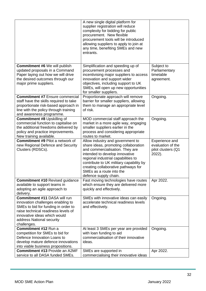|                                                                                                                                                                                                                                    | A new single digital platform for<br>supplier registration will reduce<br>complexity for bidding for public<br>procurement. New flexible<br>procurement tools will be introduced<br>allowing suppliers to apply to join at<br>any time, benefiting SMEs and new<br>entrants. |                                                                     |
|------------------------------------------------------------------------------------------------------------------------------------------------------------------------------------------------------------------------------------|------------------------------------------------------------------------------------------------------------------------------------------------------------------------------------------------------------------------------------------------------------------------------|---------------------------------------------------------------------|
| <b>Commitment #6 We will publish</b><br>updated proposals in a Command<br>Paper laying out how we will drive<br>the desired outcomes through our<br>major prime suppliers.                                                         | Simplification and speeding up of<br>procurement processes and<br>incentivising major suppliers to access<br>innovation and support wider<br>objectives, including support to UK<br>SMEs, will open up new opportunities<br>for smaller suppliers.                           | Subject to<br>Parliamentary<br>timetable<br>agreement.              |
| <b>Commitment #7</b> Ensure commercial<br>staff have the skills required to take<br>proportionate risk-based approach in<br>line with the policy through training<br>and awareness programme.                                      | Proportionate approach will remove<br>barrier for smaller suppliers, allowing<br>them to manage an appropriate level<br>of risk.                                                                                                                                             | Ongoing.                                                            |
| <b>Commitment #8 Upskilling of</b><br>commercial function to capitalise on<br>the additional freedoms delivered by<br>policy and practice improvements.<br>New training available.                                                 | MOD commercial staff approach the<br>market in a more agile way, engaging<br>smaller suppliers earlier in the<br>process and considering appropriate<br>routes to market.                                                                                                    | Ongoing.                                                            |
| <b>Commitment #9 Pilot a network of</b><br>new Regional Defence and Security<br>Clusters (RDSCs).                                                                                                                                  | Allow industry and government to<br>share ideas, promoting collaboration<br>and commercialisation. They are<br>intended to develop innovative<br>regional industrial capabilities to<br>contribute to UK military capability by                                              | Experience and<br>evaluation of the<br>pilot clusters (Q1<br>2022). |
|                                                                                                                                                                                                                                    | creating collaborative pathways for<br>SMEs as a route into the<br>defence supply chain.                                                                                                                                                                                     |                                                                     |
| <b>Commitment #10 Revised guidance</b><br>available to support teams in<br>adopting an agile approach to<br>delivery.                                                                                                              | Fast moving technologies have routes<br>which ensure they are delivered more<br>quickly and effectively.                                                                                                                                                                     | Apr 2022.                                                           |
| <b>Commitment #11 DASA will run</b><br>innovation challenges enabling to<br>SMEs to bid for funding in order to<br>raise technical readiness levels of<br>innovative ideas which would<br>address National security<br>challenges. | SMEs with innovative ideas can easily<br>accelerate technical readiness levels<br>and effectively.                                                                                                                                                                           | Ongoing.                                                            |
| Commitment #12 Run a<br>competition for SMEs to bid for<br>Defence Innovation Loans to<br>develop mature defence innovations<br>into viable business propositions.<br><b>Commitment #13 Provide an A2MF</b>                        | At least 3 SMEs per year are provided<br>with loan funding to aid<br>commercialisation of their innovative<br>ideas.                                                                                                                                                         | Ongoing.                                                            |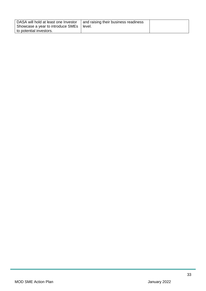| DASA will hold at least one Investor<br>Showcase a year to introduce SMEs | and raising their business readiness<br>llevel. |  |
|---------------------------------------------------------------------------|-------------------------------------------------|--|
| to potential investors.                                                   |                                                 |  |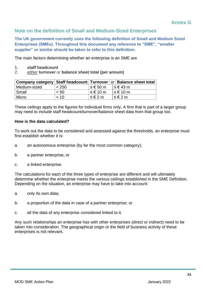# **Annex G**

# **Note on the definition of Small and Medium-Sized Enterprises**

**The UK government currently uses the following definition of Small and Medium Sized Enterprises (SMEs). Throughout this document any reference to "SME", "smaller supplier" or similar should be taken to refer to this definition.**

The main factors determining whether an enterprise is an SME are

### 1. **staff headcount**

2. either **turnover** or **balance sheet total (per annum)**

| Company category   Staff headcount   Turnover   or   Balance sheet total |       |                      |            |
|--------------------------------------------------------------------------|-------|----------------------|------------|
| Medium-sized                                                             | < 250 | ≤ € 50 m             | l ≤ € 43 m |
| ∣ Small                                                                  | < 50  | $\leq \epsilon$ 10 m | ≤€ 10 m    |
| Micro                                                                    | < 10  | ≤ € 2 m              | ≤ € 2 m    |

These ceilings apply to the figures for individual firms only. A firm that is part of a larger group may need to include staff headcount/turnover/balance sheet data from that group too.

### **How is the data calculated?**

To work out the data to be considered and assessed against the thresholds, an enterprise must first establish whether it is:

- a. an autonomous enterprise (by far the most common category);
- b. a partner enterprise; or
- c. a linked enterprise.

The calculations for each of the three types of enterprise are different and will ultimately determine whether the enterprise meets the various ceilings established in the SME Definition. Depending on the situation, an enterprise may have to take into account:

- a. only its own data;
- b. a proportion of the data in case of a partner enterprise; or
- c. all the data of any enterprise considered linked to it.

Any such relationships an enterprise has with other enterprises (direct or indirect) need to be taken into consideration. The geographical origin or the field of business activity of these enterprises is not relevant.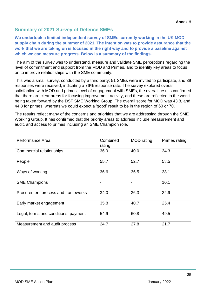# **Summary of 2021 Survey of Defence SMEs**

**We undertook a limited independent survey of SMEs currently working in the UK MOD supply chain during the summer of 2021. The intention was to provide assurance that the work that we are taking on is focused in the right way and to provide a baseline against which we can measure progress. Below is a summary of the findings.** 

The aim of the survey was to understand, measure and validate SME perceptions regarding the level of commitment and support from the MOD and Primes, and to identify key areas to focus on to improve relationships with the SME community.

This was a small survey, conducted by a third party; 51 SMEs were invited to participate, and 39 responses were received, indicating a 76% response rate. The survey explored overall satisfaction with MOD and primes' level of engagement with SMEs; the overall results confirmed that there are clear areas for focusing improvement activity, and these are reflected in the worki being taken forward by the DSF SME Working Group. The overall score for MOD was 43.8, and 44.8 for primes, whereas we could expect a 'good' result to be in the region of 60 or 70.

The results reflect many of the concerns and priorities that we are addressing through the SME Working Group. It has confirmed that the priority areas to address include measurement and audit, and access to primes including an SME Champion role.

| Performance Area                     | Combined | <b>MOD</b> rating | Primes rating |
|--------------------------------------|----------|-------------------|---------------|
|                                      | rating   |                   |               |
| Commercial relationships             | 36.9     | 40.0              | 34.3          |
| People                               | 55.7     | 52.7              | 58.5          |
| Ways of working                      | 36.6     | 36.5              | 38.1          |
| <b>SME Champions</b>                 |          |                   | 10.1          |
| Procurement process and frameworks   | 34.0     | 36.3              | 32.9          |
| Early market engagement              | 35.8     | 40.7              | 25.4          |
| Legal, terms and conditions, payment | 54.9     | 60.8              | 49.5          |
| Measurement and audit process        | 24.7     | 27.8              | 21.7          |